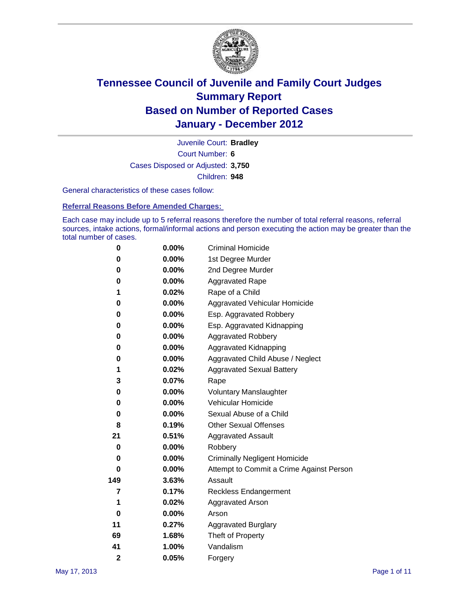

Court Number: **6** Juvenile Court: **Bradley** Cases Disposed or Adjusted: **3,750** Children: **948**

General characteristics of these cases follow:

**Referral Reasons Before Amended Charges:** 

Each case may include up to 5 referral reasons therefore the number of total referral reasons, referral sources, intake actions, formal/informal actions and person executing the action may be greater than the total number of cases.

| 0              | $0.00\%$ | <b>Criminal Homicide</b>                 |
|----------------|----------|------------------------------------------|
| 0              | 0.00%    | 1st Degree Murder                        |
| 0              | $0.00\%$ | 2nd Degree Murder                        |
| 0              | 0.00%    | <b>Aggravated Rape</b>                   |
| 1              | 0.02%    | Rape of a Child                          |
| 0              | 0.00%    | Aggravated Vehicular Homicide            |
| 0              | 0.00%    | Esp. Aggravated Robbery                  |
| 0              | $0.00\%$ | Esp. Aggravated Kidnapping               |
| 0              | $0.00\%$ | <b>Aggravated Robbery</b>                |
| 0              | $0.00\%$ | Aggravated Kidnapping                    |
| 0              | 0.00%    | Aggravated Child Abuse / Neglect         |
| 1              | 0.02%    | <b>Aggravated Sexual Battery</b>         |
| 3              | 0.07%    | Rape                                     |
| 0              | $0.00\%$ | <b>Voluntary Manslaughter</b>            |
| 0              | 0.00%    | Vehicular Homicide                       |
| 0              | $0.00\%$ | Sexual Abuse of a Child                  |
| 8              | 0.19%    | <b>Other Sexual Offenses</b>             |
| 21             | 0.51%    | <b>Aggravated Assault</b>                |
| 0              | $0.00\%$ | Robbery                                  |
| 0              | 0.00%    | <b>Criminally Negligent Homicide</b>     |
| 0              | $0.00\%$ | Attempt to Commit a Crime Against Person |
| 149            | 3.63%    | Assault                                  |
| 7              | 0.17%    | <b>Reckless Endangerment</b>             |
| 1              | 0.02%    | <b>Aggravated Arson</b>                  |
| 0              | 0.00%    | Arson                                    |
| 11             | 0.27%    | <b>Aggravated Burglary</b>               |
| 69             | 1.68%    | Theft of Property                        |
| 41             | 1.00%    | Vandalism                                |
| $\overline{2}$ | 0.05%    | Forgery                                  |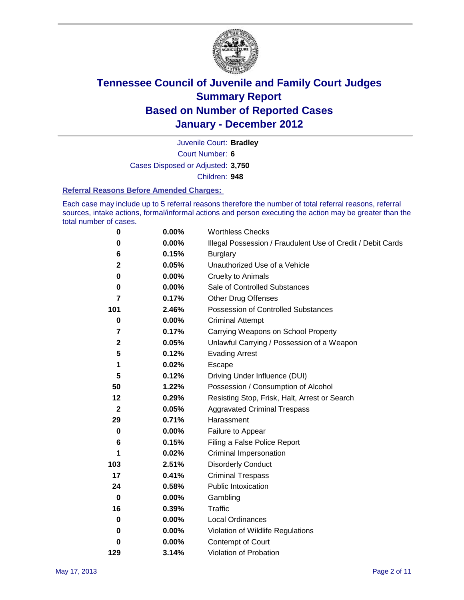

Court Number: **6** Juvenile Court: **Bradley** Cases Disposed or Adjusted: **3,750**

Children: **948**

#### **Referral Reasons Before Amended Charges:**

Each case may include up to 5 referral reasons therefore the number of total referral reasons, referral sources, intake actions, formal/informal actions and person executing the action may be greater than the total number of cases.

| $\pmb{0}$               | 0.00%    | <b>Worthless Checks</b>                                     |
|-------------------------|----------|-------------------------------------------------------------|
| 0                       | 0.00%    | Illegal Possession / Fraudulent Use of Credit / Debit Cards |
| 6                       | 0.15%    | <b>Burglary</b>                                             |
| $\mathbf{2}$            | 0.05%    | Unauthorized Use of a Vehicle                               |
| 0                       | $0.00\%$ | <b>Cruelty to Animals</b>                                   |
| $\bf{0}$                | $0.00\%$ | Sale of Controlled Substances                               |
| 7                       | 0.17%    | <b>Other Drug Offenses</b>                                  |
| 101                     | 2.46%    | Possession of Controlled Substances                         |
| 0                       | $0.00\%$ | <b>Criminal Attempt</b>                                     |
| $\overline{\mathbf{7}}$ | 0.17%    | Carrying Weapons on School Property                         |
| $\mathbf 2$             | 0.05%    | Unlawful Carrying / Possession of a Weapon                  |
| 5                       | 0.12%    | <b>Evading Arrest</b>                                       |
| 1                       | 0.02%    | Escape                                                      |
| 5                       | 0.12%    | Driving Under Influence (DUI)                               |
| 50                      | 1.22%    | Possession / Consumption of Alcohol                         |
| 12                      | 0.29%    | Resisting Stop, Frisk, Halt, Arrest or Search               |
| $\boldsymbol{2}$        | 0.05%    | <b>Aggravated Criminal Trespass</b>                         |
| 29                      | 0.71%    | Harassment                                                  |
| $\bf{0}$                | 0.00%    | Failure to Appear                                           |
| 6                       | 0.15%    | Filing a False Police Report                                |
| 1                       | 0.02%    | Criminal Impersonation                                      |
| 103                     | 2.51%    | <b>Disorderly Conduct</b>                                   |
| 17                      | 0.41%    | <b>Criminal Trespass</b>                                    |
| 24                      | 0.58%    | <b>Public Intoxication</b>                                  |
| $\mathbf 0$             | $0.00\%$ | Gambling                                                    |
| 16                      | 0.39%    | <b>Traffic</b>                                              |
| 0                       | $0.00\%$ | <b>Local Ordinances</b>                                     |
| 0                       | $0.00\%$ | Violation of Wildlife Regulations                           |
| 0                       | $0.00\%$ | Contempt of Court                                           |
| 129                     | 3.14%    | Violation of Probation                                      |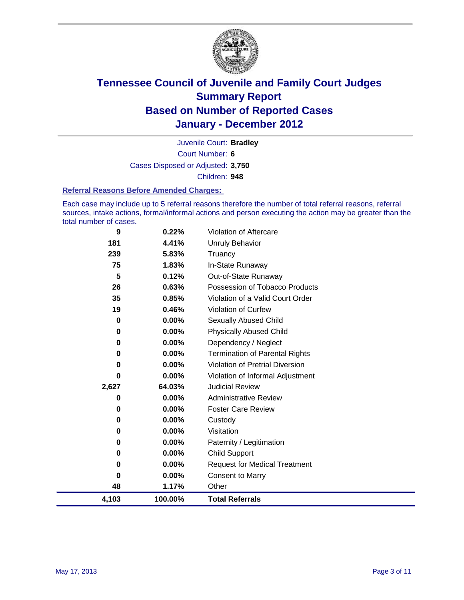

Court Number: **6** Juvenile Court: **Bradley** Cases Disposed or Adjusted: **3,750** Children: **948**

#### **Referral Reasons Before Amended Charges:**

Each case may include up to 5 referral reasons therefore the number of total referral reasons, referral sources, intake actions, formal/informal actions and person executing the action may be greater than the total number of cases.

| 9           | 0.22%    | Violation of Aftercare                 |
|-------------|----------|----------------------------------------|
| 181         | 4.41%    | <b>Unruly Behavior</b>                 |
| 239         | 5.83%    | Truancy                                |
| 75          | 1.83%    | In-State Runaway                       |
| 5           | 0.12%    | Out-of-State Runaway                   |
| 26          | 0.63%    | Possession of Tobacco Products         |
| 35          | 0.85%    | Violation of a Valid Court Order       |
| 19          | 0.46%    | <b>Violation of Curfew</b>             |
| $\mathbf 0$ | 0.00%    | <b>Sexually Abused Child</b>           |
| 0           | $0.00\%$ | <b>Physically Abused Child</b>         |
| 0           | 0.00%    | Dependency / Neglect                   |
| 0           | 0.00%    | <b>Termination of Parental Rights</b>  |
| 0           | 0.00%    | <b>Violation of Pretrial Diversion</b> |
| 0           | 0.00%    | Violation of Informal Adjustment       |
| 2,627       | 64.03%   | <b>Judicial Review</b>                 |
| 0           | 0.00%    | <b>Administrative Review</b>           |
| 0           | $0.00\%$ | <b>Foster Care Review</b>              |
| 0           | 0.00%    | Custody                                |
| 0           | $0.00\%$ | Visitation                             |
| 0           | $0.00\%$ | Paternity / Legitimation               |
| 0           | $0.00\%$ | <b>Child Support</b>                   |
| 0           | 0.00%    | <b>Request for Medical Treatment</b>   |
| 0           | $0.00\%$ | <b>Consent to Marry</b>                |
| 48          | 1.17%    | Other                                  |
| 4,103       | 100.00%  | <b>Total Referrals</b>                 |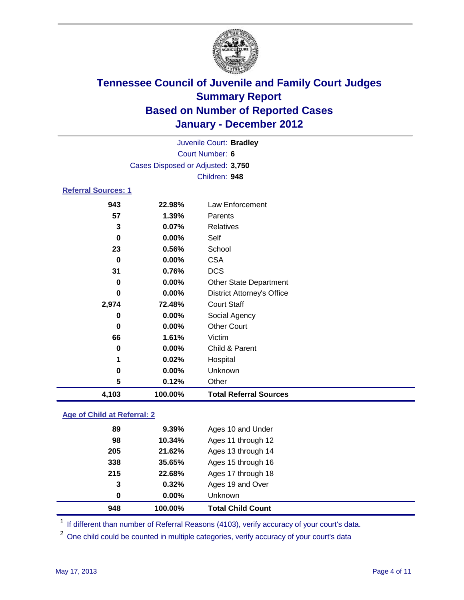

| 4,103                      | 100.00%                           | <b>Total Referral Sources</b>     |  |
|----------------------------|-----------------------------------|-----------------------------------|--|
| 5                          | 0.12%                             | Other                             |  |
| 0                          | 0.00%                             | Unknown                           |  |
| 1                          | 0.02%                             | Hospital                          |  |
| 0                          | $0.00\%$                          | Child & Parent                    |  |
| 66                         | 1.61%                             | Victim                            |  |
| 0                          | $0.00\%$                          | <b>Other Court</b>                |  |
| 0                          | $0.00\%$                          | Social Agency                     |  |
| 2,974                      | 72.48%                            | <b>Court Staff</b>                |  |
| 0                          | 0.00%                             | <b>District Attorney's Office</b> |  |
| 0                          | $0.00\%$                          | <b>Other State Department</b>     |  |
| 31                         | 0.76%                             | <b>DCS</b>                        |  |
| 0                          | $0.00\%$                          | <b>CSA</b>                        |  |
| 23                         | 0.56%                             | School                            |  |
| 0                          | $0.00\%$                          | Self                              |  |
| 3                          | 0.07%                             | <b>Relatives</b>                  |  |
| 57                         | 1.39%                             | Parents                           |  |
| 943                        | 22.98%                            | Law Enforcement                   |  |
| <b>Referral Sources: 1</b> |                                   |                                   |  |
|                            |                                   | Children: 948                     |  |
|                            | Cases Disposed or Adjusted: 3,750 |                                   |  |
|                            | <b>Court Number: 6</b>            |                                   |  |
|                            | Juvenile Court: Bradley           |                                   |  |
|                            |                                   |                                   |  |

### **Age of Child at Referral: 2**

| 100.00%  | <b>Total Child Count</b> |
|----------|--------------------------|
| $0.00\%$ | <b>Unknown</b>           |
| 0.32%    | Ages 19 and Over         |
| 22.68%   | Ages 17 through 18       |
| 35.65%   | Ages 15 through 16       |
| 21.62%   | Ages 13 through 14       |
| 10.34%   | Ages 11 through 12       |
| 9.39%    | Ages 10 and Under        |
|          |                          |

<sup>1</sup> If different than number of Referral Reasons (4103), verify accuracy of your court's data.

<sup>2</sup> One child could be counted in multiple categories, verify accuracy of your court's data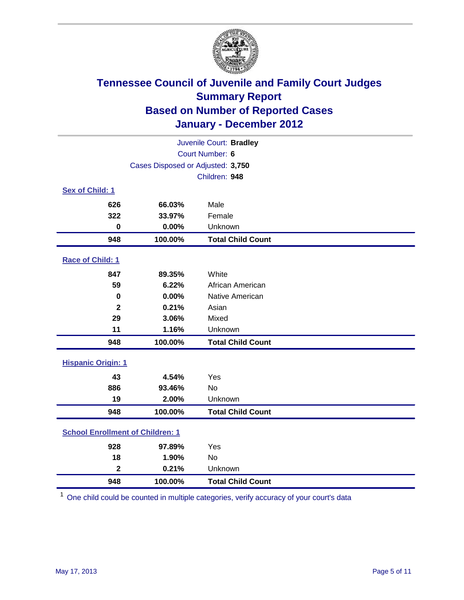

| Juvenile Court: Bradley                 |                                   |                          |  |  |
|-----------------------------------------|-----------------------------------|--------------------------|--|--|
|                                         | Court Number: 6                   |                          |  |  |
|                                         | Cases Disposed or Adjusted: 3,750 |                          |  |  |
|                                         |                                   | Children: 948            |  |  |
| Sex of Child: 1                         |                                   |                          |  |  |
| 626                                     | 66.03%                            | Male                     |  |  |
| 322                                     | 33.97%                            | Female                   |  |  |
| $\mathbf 0$                             | 0.00%                             | Unknown                  |  |  |
| 948                                     | 100.00%                           | <b>Total Child Count</b> |  |  |
| Race of Child: 1                        |                                   |                          |  |  |
| 847                                     | 89.35%                            | White                    |  |  |
| 59                                      | 6.22%                             | African American         |  |  |
| $\mathbf 0$                             | 0.00%                             | Native American          |  |  |
| $\mathbf{2}$                            | 0.21%                             | Asian                    |  |  |
| 29                                      | 3.06%                             | Mixed                    |  |  |
| 11                                      | 1.16%                             | Unknown                  |  |  |
| 948                                     | 100.00%                           | <b>Total Child Count</b> |  |  |
| <b>Hispanic Origin: 1</b>               |                                   |                          |  |  |
| 43                                      | 4.54%                             | Yes                      |  |  |
| 886                                     | 93.46%                            | No                       |  |  |
| 19                                      | 2.00%                             | Unknown                  |  |  |
| 948                                     | 100.00%                           | <b>Total Child Count</b> |  |  |
| <b>School Enrollment of Children: 1</b> |                                   |                          |  |  |
| 928                                     | 97.89%                            | Yes                      |  |  |
| 18                                      | 1.90%                             | No                       |  |  |
| $\overline{\mathbf{2}}$                 | 0.21%                             | Unknown                  |  |  |
| 948                                     | 100.00%                           | <b>Total Child Count</b> |  |  |

One child could be counted in multiple categories, verify accuracy of your court's data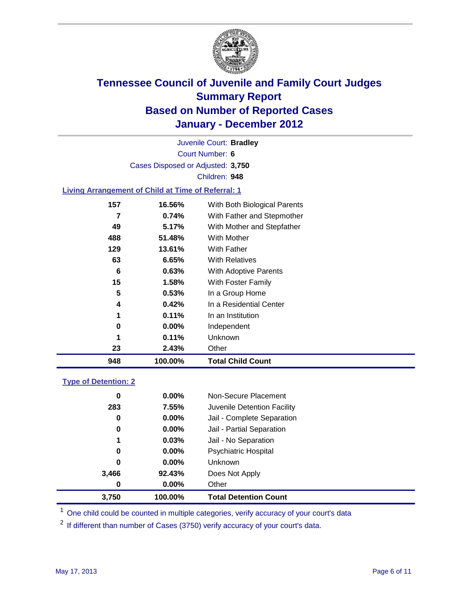

Court Number: **6** Juvenile Court: **Bradley** Cases Disposed or Adjusted: **3,750** Children: **948**

#### **Living Arrangement of Child at Time of Referral: 1**

| 948 | 100.00%  | <b>Total Child Count</b>     |
|-----|----------|------------------------------|
| 23  | 2.43%    | Other                        |
| 1   | 0.11%    | Unknown                      |
| 0   | $0.00\%$ | Independent                  |
| 1   | 0.11%    | In an Institution            |
| 4   | 0.42%    | In a Residential Center      |
| 5   | 0.53%    | In a Group Home              |
| 15  | 1.58%    | With Foster Family           |
| 6   | 0.63%    | With Adoptive Parents        |
| 63  | 6.65%    | <b>With Relatives</b>        |
| 129 | 13.61%   | With Father                  |
| 488 | 51.48%   | <b>With Mother</b>           |
| 49  | 5.17%    | With Mother and Stepfather   |
|     | 0.74%    | With Father and Stepmother   |
| 157 | 16.56%   | With Both Biological Parents |
|     |          |                              |

#### **Type of Detention: 2**

| 3,750 | 100.00%  | <b>Total Detention Count</b> |
|-------|----------|------------------------------|
| 0     | $0.00\%$ | Other                        |
| 3,466 | 92.43%   | Does Not Apply               |
| 0     | $0.00\%$ | Unknown                      |
| 0     | $0.00\%$ | <b>Psychiatric Hospital</b>  |
| 1     | 0.03%    | Jail - No Separation         |
| 0     | $0.00\%$ | Jail - Partial Separation    |
| 0     | 0.00%    | Jail - Complete Separation   |
| 283   | 7.55%    | Juvenile Detention Facility  |
| 0     | $0.00\%$ | Non-Secure Placement         |
|       |          |                              |

<sup>1</sup> One child could be counted in multiple categories, verify accuracy of your court's data

<sup>2</sup> If different than number of Cases (3750) verify accuracy of your court's data.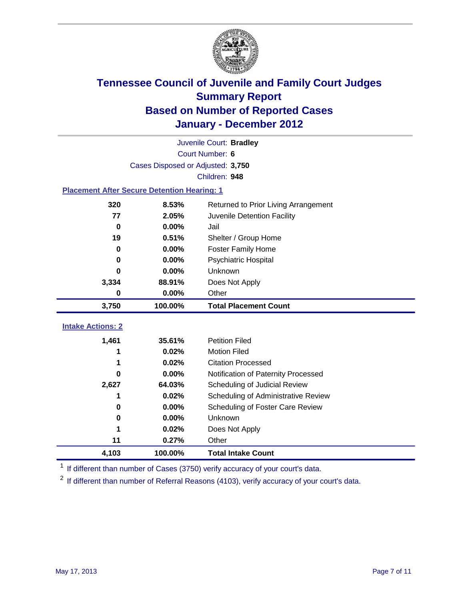

|                                                    | Juvenile Court: Bradley           |                                      |  |  |  |
|----------------------------------------------------|-----------------------------------|--------------------------------------|--|--|--|
|                                                    | Court Number: 6                   |                                      |  |  |  |
|                                                    | Cases Disposed or Adjusted: 3,750 |                                      |  |  |  |
|                                                    |                                   | Children: 948                        |  |  |  |
| <b>Placement After Secure Detention Hearing: 1</b> |                                   |                                      |  |  |  |
| 320                                                | 8.53%                             | Returned to Prior Living Arrangement |  |  |  |
| 77                                                 | 2.05%                             | Juvenile Detention Facility          |  |  |  |
| $\bf{0}$                                           | 0.00%                             | Jail                                 |  |  |  |
| 19                                                 | 0.51%                             | Shelter / Group Home                 |  |  |  |
| $\bf{0}$                                           | 0.00%                             | Foster Family Home                   |  |  |  |
| 0                                                  | 0.00%                             | Psychiatric Hospital                 |  |  |  |
| 0                                                  | 0.00%                             | Unknown                              |  |  |  |
| 3,334                                              | 88.91%                            | Does Not Apply                       |  |  |  |
| $\bf{0}$                                           | 0.00%                             | Other                                |  |  |  |
| 3,750                                              | 100.00%                           | <b>Total Placement Count</b>         |  |  |  |
| <b>Intake Actions: 2</b>                           |                                   |                                      |  |  |  |
|                                                    |                                   |                                      |  |  |  |
| 1,461                                              | 35.61%                            | <b>Petition Filed</b>                |  |  |  |
| 1                                                  | 0.02%                             | <b>Motion Filed</b>                  |  |  |  |
| 1                                                  | 0.02%                             | <b>Citation Processed</b>            |  |  |  |
| <sup>0</sup>                                       | 0.00%                             | Notification of Paternity Processed  |  |  |  |
| 2,627                                              | 64.03%                            | Scheduling of Judicial Review        |  |  |  |
| 1                                                  | 0.02%                             | Scheduling of Administrative Review  |  |  |  |
| 0                                                  | 0.00%                             | Scheduling of Foster Care Review     |  |  |  |
| 0                                                  | 0.00%                             | <b>Unknown</b>                       |  |  |  |
| 1                                                  | 0.02%                             | Does Not Apply                       |  |  |  |
| 11                                                 | 0.27%                             | Other                                |  |  |  |
| 4,103                                              | 100.00%                           | <b>Total Intake Count</b>            |  |  |  |

<sup>1</sup> If different than number of Cases (3750) verify accuracy of your court's data.

<sup>2</sup> If different than number of Referral Reasons (4103), verify accuracy of your court's data.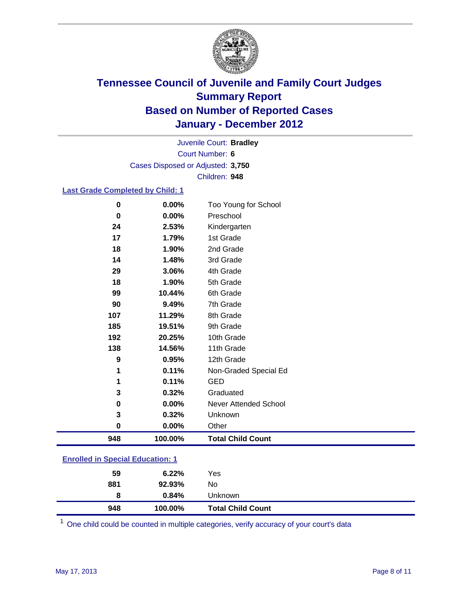

Court Number: **6** Juvenile Court: **Bradley** Cases Disposed or Adjusted: **3,750** Children: **948**

#### **Last Grade Completed by Child: 1**

| 0                                       | 0.00%   | Too Young for School         |
|-----------------------------------------|---------|------------------------------|
| 0                                       | 0.00%   | Preschool                    |
| 24                                      | 2.53%   | Kindergarten                 |
| 17                                      | 1.79%   | 1st Grade                    |
| 18                                      | 1.90%   | 2nd Grade                    |
| 14                                      | 1.48%   | 3rd Grade                    |
| 29                                      | 3.06%   | 4th Grade                    |
| 18                                      | 1.90%   | 5th Grade                    |
| 99                                      | 10.44%  | 6th Grade                    |
| 90                                      | 9.49%   | 7th Grade                    |
| 107                                     | 11.29%  | 8th Grade                    |
| 185                                     | 19.51%  | 9th Grade                    |
| 192                                     | 20.25%  | 10th Grade                   |
| 138                                     | 14.56%  | 11th Grade                   |
| 9                                       | 0.95%   | 12th Grade                   |
| 1                                       | 0.11%   | Non-Graded Special Ed        |
| 1                                       | 0.11%   | <b>GED</b>                   |
| 3                                       | 0.32%   | Graduated                    |
| 0                                       | 0.00%   | <b>Never Attended School</b> |
| 3                                       | 0.32%   | Unknown                      |
| $\mathbf 0$                             | 0.00%   | Other                        |
| 948                                     | 100.00% | <b>Total Child Count</b>     |
| <b>Enrolled in Special Education: 1</b> |         |                              |

| 948                                      | 100.00% | <b>Total Child Count</b> |  |
|------------------------------------------|---------|--------------------------|--|
| 8                                        | 0.84%   | Unknown                  |  |
| 881                                      | 92.93%  | No                       |  |
| 59                                       | 6.22%   | Yes                      |  |
| <u>Ellioned III Special Education. I</u> |         |                          |  |

One child could be counted in multiple categories, verify accuracy of your court's data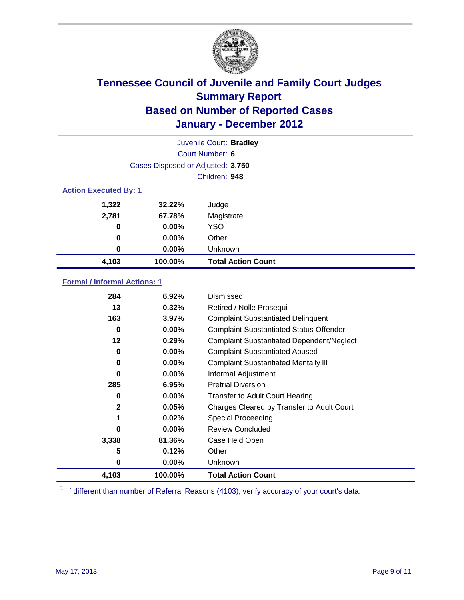

| Juvenile Court: Bradley |                                   |                           |  |  |  |
|-------------------------|-----------------------------------|---------------------------|--|--|--|
|                         | Court Number: 6                   |                           |  |  |  |
|                         | Cases Disposed or Adjusted: 3,750 |                           |  |  |  |
|                         | Children: 948                     |                           |  |  |  |
|                         | <b>Action Executed By: 1</b>      |                           |  |  |  |
| 1,322                   | 32.22%                            | Judge                     |  |  |  |
| 2,781                   | 67.78%                            | Magistrate                |  |  |  |
| 0                       | $0.00\%$                          | <b>YSO</b>                |  |  |  |
| 0                       | $0.00\%$                          | Other                     |  |  |  |
| 0                       | $0.00\%$                          | Unknown                   |  |  |  |
| 4,103                   | 100.00%                           | <b>Total Action Count</b> |  |  |  |

### **Formal / Informal Actions: 1**

| 284          | 6.92%    | Dismissed                                        |
|--------------|----------|--------------------------------------------------|
| 13           | 0.32%    | Retired / Nolle Prosequi                         |
| 163          | 3.97%    | <b>Complaint Substantiated Delinquent</b>        |
| 0            | $0.00\%$ | <b>Complaint Substantiated Status Offender</b>   |
| 12           | 0.29%    | <b>Complaint Substantiated Dependent/Neglect</b> |
| 0            | 0.00%    | <b>Complaint Substantiated Abused</b>            |
| 0            | $0.00\%$ | <b>Complaint Substantiated Mentally III</b>      |
| 0            | $0.00\%$ | Informal Adjustment                              |
| 285          | 6.95%    | <b>Pretrial Diversion</b>                        |
| 0            | $0.00\%$ | <b>Transfer to Adult Court Hearing</b>           |
| $\mathbf{2}$ | 0.05%    | Charges Cleared by Transfer to Adult Court       |
| 1            | 0.02%    | <b>Special Proceeding</b>                        |
| 0            | $0.00\%$ | <b>Review Concluded</b>                          |
| 3,338        | 81.36%   | Case Held Open                                   |
| 5            | 0.12%    | Other                                            |
| 0            | $0.00\%$ | Unknown                                          |
| 4,103        | 100.00%  | <b>Total Action Count</b>                        |

<sup>1</sup> If different than number of Referral Reasons (4103), verify accuracy of your court's data.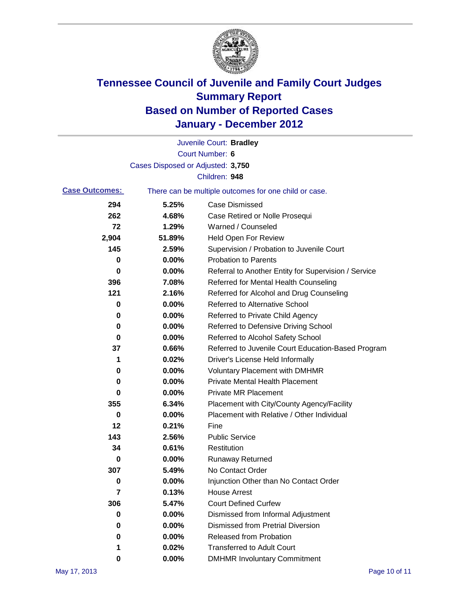

|                       |                                   | Juvenile Court: Bradley                               |
|-----------------------|-----------------------------------|-------------------------------------------------------|
|                       |                                   | <b>Court Number: 6</b>                                |
|                       | Cases Disposed or Adjusted: 3,750 |                                                       |
|                       |                                   | Children: 948                                         |
| <b>Case Outcomes:</b> |                                   | There can be multiple outcomes for one child or case. |
| 294                   | 5.25%                             | <b>Case Dismissed</b>                                 |
| 262                   | 4.68%                             | Case Retired or Nolle Prosequi                        |
| 72                    | 1.29%                             | Warned / Counseled                                    |
| 2,904                 | 51.89%                            | Held Open For Review                                  |
| 145                   | 2.59%                             | Supervision / Probation to Juvenile Court             |
| 0                     | 0.00%                             | <b>Probation to Parents</b>                           |
| 0                     | 0.00%                             | Referral to Another Entity for Supervision / Service  |
| 396                   | 7.08%                             | Referred for Mental Health Counseling                 |
| 121                   | 2.16%                             | Referred for Alcohol and Drug Counseling              |
| 0                     | 0.00%                             | <b>Referred to Alternative School</b>                 |
| 0                     | 0.00%                             | Referred to Private Child Agency                      |
| 0                     | 0.00%                             | Referred to Defensive Driving School                  |
| 0                     | 0.00%                             | Referred to Alcohol Safety School                     |
| 37                    | 0.66%                             | Referred to Juvenile Court Education-Based Program    |
| 1                     | 0.02%                             | Driver's License Held Informally                      |
| 0                     | 0.00%                             | <b>Voluntary Placement with DMHMR</b>                 |
| 0                     | 0.00%                             | <b>Private Mental Health Placement</b>                |
| 0                     | 0.00%                             | <b>Private MR Placement</b>                           |
| 355                   | 6.34%                             | Placement with City/County Agency/Facility            |
| 0                     | 0.00%                             | Placement with Relative / Other Individual            |
| 12                    | 0.21%                             | Fine                                                  |
| 143                   | 2.56%                             | <b>Public Service</b>                                 |
| 34                    | 0.61%                             | Restitution                                           |
| 0                     | 0.00%                             | <b>Runaway Returned</b>                               |
| 307                   | 5.49%                             | No Contact Order                                      |
| 0                     | 0.00%                             | Injunction Other than No Contact Order                |
| 7                     | 0.13%                             | <b>House Arrest</b>                                   |
| 306                   | 5.47%                             | <b>Court Defined Curfew</b>                           |
| 0                     | 0.00%                             | Dismissed from Informal Adjustment                    |
| 0                     | 0.00%                             | <b>Dismissed from Pretrial Diversion</b>              |
| 0                     | 0.00%                             | Released from Probation                               |
| 1                     | 0.02%                             | <b>Transferred to Adult Court</b>                     |
| 0                     | $0.00\%$                          | <b>DMHMR Involuntary Commitment</b>                   |